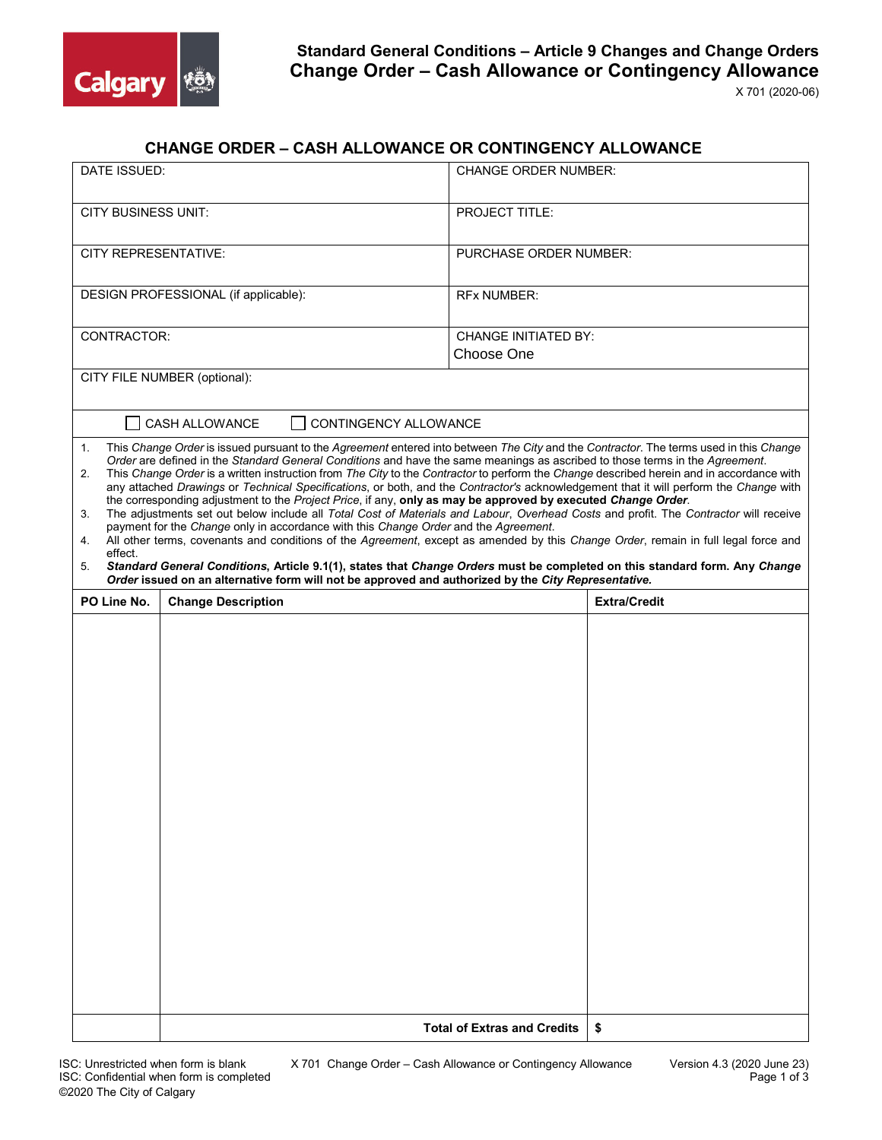

| <b>CHANGE ORDER – CASH ALLOWANCE OR CONTINGENCY ALLOWANCE</b> |  |  |
|---------------------------------------------------------------|--|--|
|---------------------------------------------------------------|--|--|

| DATE ISSUED:                                                                                                                                                                                                                                                                                                                                                                                                                                                                                                                                                                                                                                                                                                                                                                                                                                                                                                                                                                                                                                                                                                                                                                                                                                                                                                                  |                                                | <b>CHANGE ORDER NUMBER:</b>               |  |  |  |  |  |
|-------------------------------------------------------------------------------------------------------------------------------------------------------------------------------------------------------------------------------------------------------------------------------------------------------------------------------------------------------------------------------------------------------------------------------------------------------------------------------------------------------------------------------------------------------------------------------------------------------------------------------------------------------------------------------------------------------------------------------------------------------------------------------------------------------------------------------------------------------------------------------------------------------------------------------------------------------------------------------------------------------------------------------------------------------------------------------------------------------------------------------------------------------------------------------------------------------------------------------------------------------------------------------------------------------------------------------|------------------------------------------------|-------------------------------------------|--|--|--|--|--|
| <b>CITY BUSINESS UNIT:</b>                                                                                                                                                                                                                                                                                                                                                                                                                                                                                                                                                                                                                                                                                                                                                                                                                                                                                                                                                                                                                                                                                                                                                                                                                                                                                                    |                                                | PROJECT TITLE:                            |  |  |  |  |  |
| <b>CITY REPRESENTATIVE:</b>                                                                                                                                                                                                                                                                                                                                                                                                                                                                                                                                                                                                                                                                                                                                                                                                                                                                                                                                                                                                                                                                                                                                                                                                                                                                                                   |                                                | PURCHASE ORDER NUMBER:                    |  |  |  |  |  |
|                                                                                                                                                                                                                                                                                                                                                                                                                                                                                                                                                                                                                                                                                                                                                                                                                                                                                                                                                                                                                                                                                                                                                                                                                                                                                                                               | DESIGN PROFESSIONAL (if applicable):           | <b>RFx NUMBER:</b>                        |  |  |  |  |  |
| CONTRACTOR:                                                                                                                                                                                                                                                                                                                                                                                                                                                                                                                                                                                                                                                                                                                                                                                                                                                                                                                                                                                                                                                                                                                                                                                                                                                                                                                   |                                                | <b>CHANGE INITIATED BY:</b><br>Choose One |  |  |  |  |  |
|                                                                                                                                                                                                                                                                                                                                                                                                                                                                                                                                                                                                                                                                                                                                                                                                                                                                                                                                                                                                                                                                                                                                                                                                                                                                                                                               | CITY FILE NUMBER (optional):                   |                                           |  |  |  |  |  |
|                                                                                                                                                                                                                                                                                                                                                                                                                                                                                                                                                                                                                                                                                                                                                                                                                                                                                                                                                                                                                                                                                                                                                                                                                                                                                                                               | CONTINGENCY ALLOWANCE<br><b>CASH ALLOWANCE</b> |                                           |  |  |  |  |  |
| This Change Order is issued pursuant to the Agreement entered into between The City and the Contractor. The terms used in this Change<br>1.<br>Order are defined in the Standard General Conditions and have the same meanings as ascribed to those terms in the Agreement.<br>This Change Order is a written instruction from The City to the Contractor to perform the Change described herein and in accordance with<br>2.<br>any attached Drawings or Technical Specifications, or both, and the Contractor's acknowledgement that it will perform the Change with<br>the corresponding adjustment to the Project Price, if any, only as may be approved by executed Change Order.<br>The adjustments set out below include all Total Cost of Materials and Labour, Overhead Costs and profit. The Contractor will receive<br>3.<br>payment for the Change only in accordance with this Change Order and the Agreement.<br>All other terms, covenants and conditions of the Agreement, except as amended by this Change Order, remain in full legal force and<br>4.<br>effect.<br>Standard General Conditions, Article 9.1(1), states that Change Orders must be completed on this standard form. Any Change<br>5.<br>Order issued on an alternative form will not be approved and authorized by the City Representative. |                                                |                                           |  |  |  |  |  |
| PO Line No.                                                                                                                                                                                                                                                                                                                                                                                                                                                                                                                                                                                                                                                                                                                                                                                                                                                                                                                                                                                                                                                                                                                                                                                                                                                                                                                   | <b>Change Description</b>                      | <b>Extra/Credit</b>                       |  |  |  |  |  |
|                                                                                                                                                                                                                                                                                                                                                                                                                                                                                                                                                                                                                                                                                                                                                                                                                                                                                                                                                                                                                                                                                                                                                                                                                                                                                                                               |                                                |                                           |  |  |  |  |  |
|                                                                                                                                                                                                                                                                                                                                                                                                                                                                                                                                                                                                                                                                                                                                                                                                                                                                                                                                                                                                                                                                                                                                                                                                                                                                                                                               |                                                |                                           |  |  |  |  |  |
|                                                                                                                                                                                                                                                                                                                                                                                                                                                                                                                                                                                                                                                                                                                                                                                                                                                                                                                                                                                                                                                                                                                                                                                                                                                                                                                               |                                                | <b>Total of Extras and Credits</b><br>-\$ |  |  |  |  |  |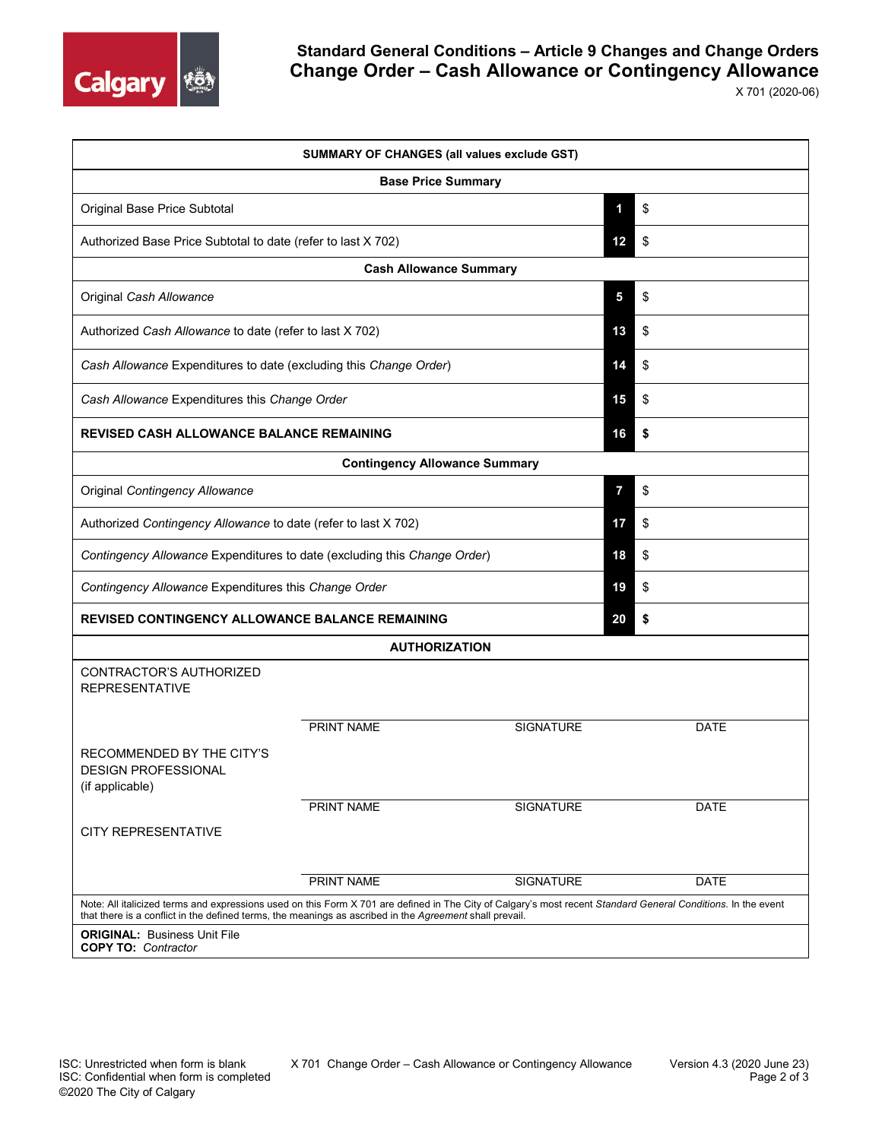

| <b>SUMMARY OF CHANGES (all values exclude GST)</b>                                                                                                                                                                                                                       |                           |                  |    |             |  |  |  |
|--------------------------------------------------------------------------------------------------------------------------------------------------------------------------------------------------------------------------------------------------------------------------|---------------------------|------------------|----|-------------|--|--|--|
|                                                                                                                                                                                                                                                                          | <b>Base Price Summary</b> |                  |    |             |  |  |  |
| Original Base Price Subtotal                                                                                                                                                                                                                                             |                           |                  | 1  | \$          |  |  |  |
| Authorized Base Price Subtotal to date (refer to last X 702)                                                                                                                                                                                                             |                           |                  | 12 | \$          |  |  |  |
| <b>Cash Allowance Summary</b>                                                                                                                                                                                                                                            |                           |                  |    |             |  |  |  |
| Original Cash Allowance                                                                                                                                                                                                                                                  |                           |                  | 5  | \$          |  |  |  |
| Authorized Cash Allowance to date (refer to last X 702)                                                                                                                                                                                                                  |                           |                  | 13 | \$          |  |  |  |
| Cash Allowance Expenditures to date (excluding this Change Order)                                                                                                                                                                                                        |                           |                  | 14 | \$          |  |  |  |
| Cash Allowance Expenditures this Change Order                                                                                                                                                                                                                            |                           |                  | 15 | \$          |  |  |  |
| <b>REVISED CASH ALLOWANCE BALANCE REMAINING</b>                                                                                                                                                                                                                          |                           |                  | 16 | \$          |  |  |  |
| <b>Contingency Allowance Summary</b>                                                                                                                                                                                                                                     |                           |                  |    |             |  |  |  |
| Original Contingency Allowance                                                                                                                                                                                                                                           |                           |                  | 7  | \$          |  |  |  |
| Authorized Contingency Allowance to date (refer to last X 702)                                                                                                                                                                                                           |                           |                  | 17 | \$          |  |  |  |
| Contingency Allowance Expenditures to date (excluding this Change Order)                                                                                                                                                                                                 |                           |                  | 18 | \$          |  |  |  |
| Contingency Allowance Expenditures this Change Order                                                                                                                                                                                                                     |                           |                  | 19 | \$          |  |  |  |
| <b>REVISED CONTINGENCY ALLOWANCE BALANCE REMAINING</b>                                                                                                                                                                                                                   |                           |                  | 20 | \$          |  |  |  |
|                                                                                                                                                                                                                                                                          | <b>AUTHORIZATION</b>      |                  |    |             |  |  |  |
| CONTRACTOR'S AUTHORIZED<br><b>REPRESENTATIVE</b>                                                                                                                                                                                                                         |                           |                  |    |             |  |  |  |
|                                                                                                                                                                                                                                                                          | <b>PRINT NAME</b>         | <b>SIGNATURE</b> |    | <b>DATE</b> |  |  |  |
| RECOMMENDED BY THE CITY'S<br><b>DESIGN PROFESSIONAL</b><br>(if applicable)                                                                                                                                                                                               |                           |                  |    |             |  |  |  |
|                                                                                                                                                                                                                                                                          | PRINT NAME                | <b>SIGNATURE</b> |    | DATE        |  |  |  |
| <b>CITY REPRESENTATIVE</b>                                                                                                                                                                                                                                               |                           |                  |    |             |  |  |  |
|                                                                                                                                                                                                                                                                          | PRINT NAME                | SIGNATURE        |    | <b>DATE</b> |  |  |  |
| Note: All italicized terms and expressions used on this Form X 701 are defined in The City of Calgary's most recent Standard General Conditions. In the event<br>that there is a conflict in the defined terms, the meanings as ascribed in the Agreement shall prevail. |                           |                  |    |             |  |  |  |
| <b>ORIGINAL: Business Unit File</b><br><b>COPY TO: Contractor</b>                                                                                                                                                                                                        |                           |                  |    |             |  |  |  |